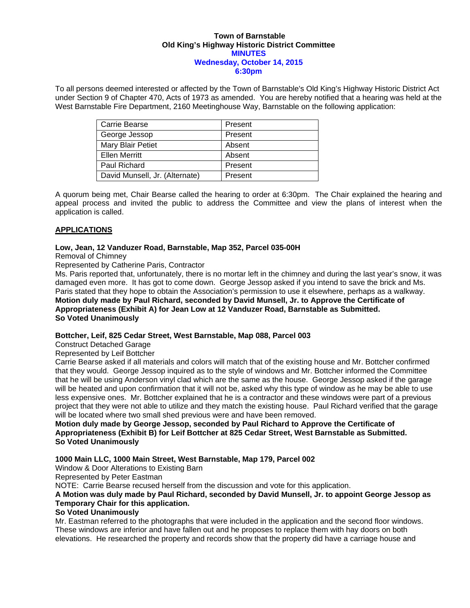#### **Town of Barnstable Old King's Highway Historic District Committee MINUTES Wednesday, October 14, 2015 6:30pm**

To all persons deemed interested or affected by the Town of Barnstable's Old King's Highway Historic District Act under Section 9 of Chapter 470, Acts of 1973 as amended. You are hereby notified that a hearing was held at the West Barnstable Fire Department, 2160 Meetinghouse Way, Barnstable on the following application:

| Carrie Bearse                  | Present |
|--------------------------------|---------|
| George Jessop                  | Present |
| Mary Blair Petiet              | Absent  |
| <b>Ellen Merritt</b>           | Absent  |
| Paul Richard                   | Present |
| David Munsell, Jr. (Alternate) | Present |

A quorum being met, Chair Bearse called the hearing to order at 6:30pm. The Chair explained the hearing and appeal process and invited the public to address the Committee and view the plans of interest when the application is called.

# **APPLICATIONS**

## **Low, Jean, 12 Vanduzer Road, Barnstable, Map 352, Parcel 035-00H**

Removal of Chimney

Represented by Catherine Paris, Contractor

Ms. Paris reported that, unfortunately, there is no mortar left in the chimney and during the last year's snow, it was damaged even more. It has got to come down. George Jessop asked if you intend to save the brick and Ms. Paris stated that they hope to obtain the Association's permission to use it elsewhere, perhaps as a walkway. **Motion duly made by Paul Richard, seconded by David Munsell, Jr. to Approve the Certificate of Appropriateness (Exhibit A) for Jean Low at 12 Vanduzer Road, Barnstable as Submitted. So Voted Unanimously** 

# **Bottcher, Leif, 825 Cedar Street, West Barnstable, Map 088, Parcel 003**

Construct Detached Garage

Represented by Leif Bottcher

Carrie Bearse asked if all materials and colors will match that of the existing house and Mr. Bottcher confirmed that they would. George Jessop inquired as to the style of windows and Mr. Bottcher informed the Committee that he will be using Anderson vinyl clad which are the same as the house. George Jessop asked if the garage will be heated and upon confirmation that it will not be, asked why this type of window as he may be able to use less expensive ones. Mr. Bottcher explained that he is a contractor and these windows were part of a previous project that they were not able to utilize and they match the existing house. Paul Richard verified that the garage will be located where two small shed previous were and have been removed.

**Motion duly made by George Jessop, seconded by Paul Richard to Approve the Certificate of Appropriateness (Exhibit B) for Leif Bottcher at 825 Cedar Street, West Barnstable as Submitted. So Voted Unanimously** 

### **1000 Main LLC, 1000 Main Street, West Barnstable, Map 179, Parcel 002**

Window & Door Alterations to Existing Barn

Represented by Peter Eastman

NOTE: Carrie Bearse recused herself from the discussion and vote for this application.

## **A Motion was duly made by Paul Richard, seconded by David Munsell, Jr. to appoint George Jessop as Temporary Chair for this application.**

# **So Voted Unanimously**

Mr. Eastman referred to the photographs that were included in the application and the second floor windows. These windows are inferior and have fallen out and he proposes to replace them with hay doors on both elevations. He researched the property and records show that the property did have a carriage house and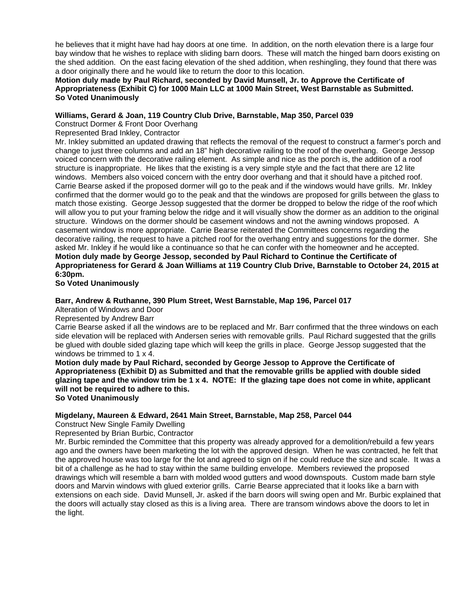he believes that it might have had hay doors at one time. In addition, on the north elevation there is a large four bay window that he wishes to replace with sliding barn doors. These will match the hinged barn doors existing on the shed addition. On the east facing elevation of the shed addition, when reshingling, they found that there was a door originally there and he would like to return the door to this location.

**Motion duly made by Paul Richard, seconded by David Munsell, Jr. to Approve the Certificate of Appropriateness (Exhibit C) for 1000 Main LLC at 1000 Main Street, West Barnstable as Submitted. So Voted Unanimously** 

## **Williams, Gerard & Joan, 119 Country Club Drive, Barnstable, Map 350, Parcel 039**

Construct Dormer & Front Door Overhang

Represented Brad Inkley, Contractor

Mr. Inkley submitted an updated drawing that reflects the removal of the request to construct a farmer's porch and change to just three columns and add an 18" high decorative railing to the roof of the overhang. George Jessop voiced concern with the decorative railing element. As simple and nice as the porch is, the addition of a roof structure is inappropriate. He likes that the existing is a very simple style and the fact that there are 12 lite windows. Members also voiced concern with the entry door overhang and that it should have a pitched roof. Carrie Bearse asked if the proposed dormer will go to the peak and if the windows would have grills. Mr. Inkley confirmed that the dormer would go to the peak and that the windows are proposed for grills between the glass to match those existing. George Jessop suggested that the dormer be dropped to below the ridge of the roof which will allow you to put your framing below the ridge and it will visually show the dormer as an addition to the original structure. Windows on the dormer should be casement windows and not the awning windows proposed. A casement window is more appropriate. Carrie Bearse reiterated the Committees concerns regarding the decorative railing, the request to have a pitched roof for the overhang entry and suggestions for the dormer. She asked Mr. Inkley if he would like a continuance so that he can confer with the homeowner and he accepted. **Motion duly made by George Jessop, seconded by Paul Richard to Continue the Certificate of Appropriateness for Gerard & Joan Williams at 119 Country Club Drive, Barnstable to October 24, 2015 at 6:30pm.** 

**So Voted Unanimously** 

## **Barr, Andrew & Ruthanne, 390 Plum Street, West Barnstable, Map 196, Parcel 017**

Alteration of Windows and Door

Represented by Andrew Barr

Carrie Bearse asked if all the windows are to be replaced and Mr. Barr confirmed that the three windows on each side elevation will be replaced with Andersen series with removable grills. Paul Richard suggested that the grills be glued with double sided glazing tape which will keep the grills in place. George Jessop suggested that the windows be trimmed to 1 x 4.

**Motion duly made by Paul Richard, seconded by George Jessop to Approve the Certificate of Appropriateness (Exhibit D) as Submitted and that the removable grills be applied with double sided glazing tape and the window trim be 1 x 4. NOTE: If the glazing tape does not come in white, applicant will not be required to adhere to this. So Voted Unanimously** 

**Migdelany, Maureen & Edward, 2641 Main Street, Barnstable, Map 258, Parcel 044** 

Construct New Single Family Dwelling

Represented by Brian Burbic, Contractor

Mr. Burbic reminded the Committee that this property was already approved for a demolition/rebuild a few years ago and the owners have been marketing the lot with the approved design. When he was contracted, he felt that the approved house was too large for the lot and agreed to sign on if he could reduce the size and scale. It was a bit of a challenge as he had to stay within the same building envelope. Members reviewed the proposed drawings which will resemble a barn with molded wood gutters and wood downspouts. Custom made barn style doors and Marvin windows with glued exterior grills. Carrie Bearse appreciated that it looks like a barn with extensions on each side. David Munsell, Jr. asked if the barn doors will swing open and Mr. Burbic explained that the doors will actually stay closed as this is a living area. There are transom windows above the doors to let in the light.